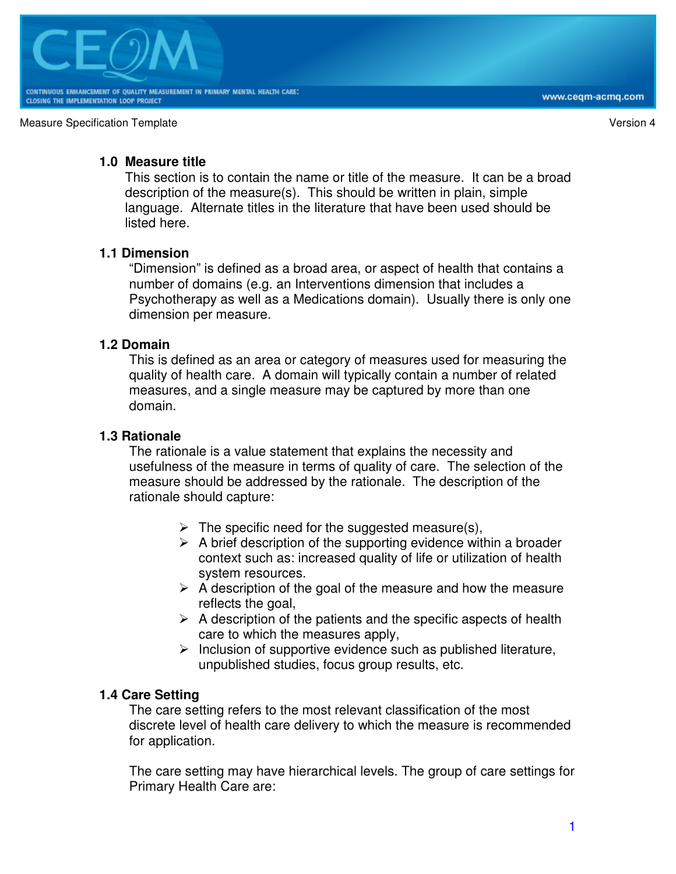

## **1.0 Measure title**

This section is to contain the name or title of the measure. It can be a broad description of the measure(s). This should be written in plain, simple language. Alternate titles in the literature that have been used should be listed here.

## **1.1 Dimension**

"Dimension" is defined as a broad area, or aspect of health that contains a number of domains (e.g. an Interventions dimension that includes a Psychotherapy as well as a Medications domain). Usually there is only one dimension per measure.

### **1.2 Domain**

This is defined as an area or category of measures used for measuring the quality of health care. A domain will typically contain a number of related measures, and a single measure may be captured by more than one domain.

### **1.3 Rationale**

The rationale is a value statement that explains the necessity and usefulness of the measure in terms of quality of care. The selection of the measure should be addressed by the rationale. The description of the rationale should capture:

- $\triangleright$  The specific need for the suggested measure(s),
- $\triangleright$  A brief description of the supporting evidence within a broader context such as: increased quality of life or utilization of health system resources.
- $\triangleright$  A description of the goal of the measure and how the measure reflects the goal,
- $\triangleright$  A description of the patients and the specific aspects of health care to which the measures apply,
- $\triangleright$  Inclusion of supportive evidence such as published literature, unpublished studies, focus group results, etc.

### **1.4 Care Setting**

The care setting refers to the most relevant classification of the most discrete level of health care delivery to which the measure is recommended for application.

The care setting may have hierarchical levels. The group of care settings for Primary Health Care are: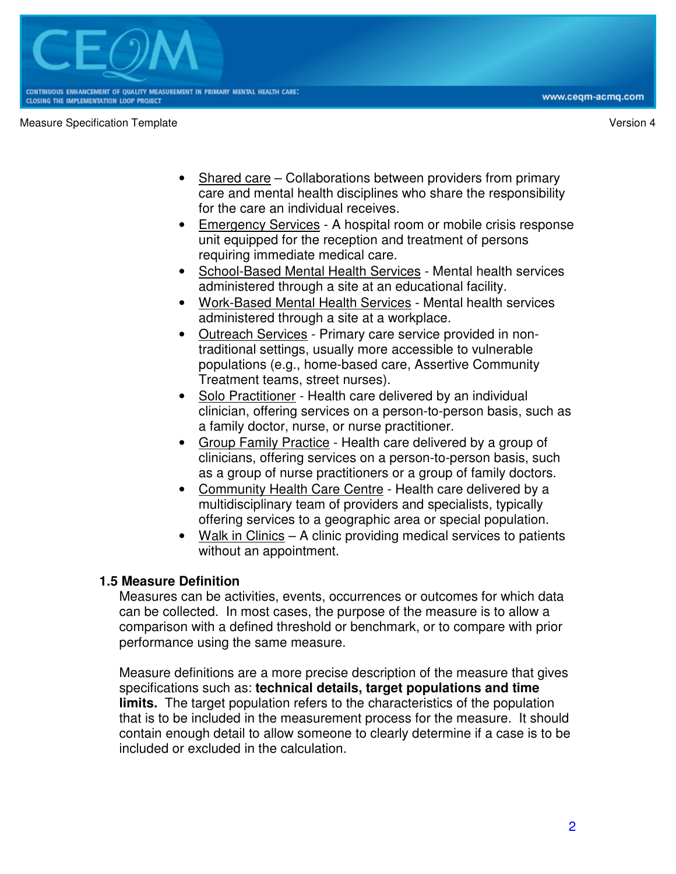

- Shared care Collaborations between providers from primary care and mental health disciplines who share the responsibility for the care an individual receives.
- Emergency Services A hospital room or mobile crisis response unit equipped for the reception and treatment of persons requiring immediate medical care.
- School-Based Mental Health Services Mental health services administered through a site at an educational facility.
- Work-Based Mental Health Services Mental health services administered through a site at a workplace.
- Outreach Services Primary care service provided in nontraditional settings, usually more accessible to vulnerable populations (e.g., home-based care, Assertive Community Treatment teams, street nurses).
- Solo Practitioner Health care delivered by an individual clinician, offering services on a person-to-person basis, such as a family doctor, nurse, or nurse practitioner.
- Group Family Practice Health care delivered by a group of clinicians, offering services on a person-to-person basis, such as a group of nurse practitioners or a group of family doctors.
- Community Health Care Centre Health care delivered by a multidisciplinary team of providers and specialists, typically offering services to a geographic area or special population.
- Walk in Clinics  $-$  A clinic providing medical services to patients without an appointment.

## **1.5 Measure Definition**

Measures can be activities, events, occurrences or outcomes for which data can be collected. In most cases, the purpose of the measure is to allow a comparison with a defined threshold or benchmark, or to compare with prior performance using the same measure.

Measure definitions are a more precise description of the measure that gives specifications such as: **technical details, target populations and time limits.** The target population refers to the characteristics of the population that is to be included in the measurement process for the measure. It should contain enough detail to allow someone to clearly determine if a case is to be included or excluded in the calculation.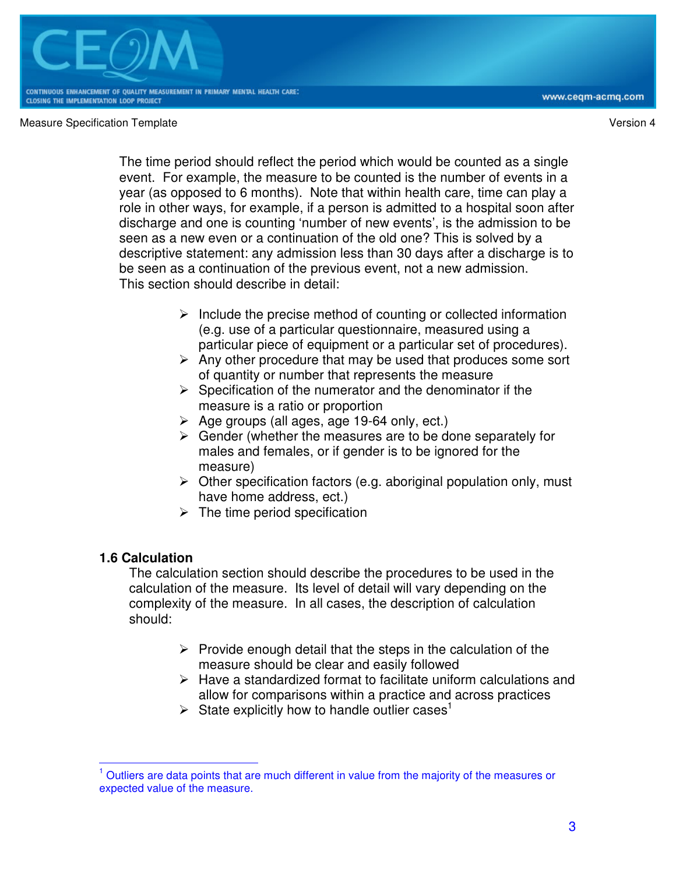

www.ceqm-acmq.com

The time period should reflect the period which would be counted as a single event. For example, the measure to be counted is the number of events in a year (as opposed to 6 months). Note that within health care, time can play a role in other ways, for example, if a person is admitted to a hospital soon after discharge and one is counting 'number of new events', is the admission to be seen as a new even or a continuation of the old one? This is solved by a descriptive statement: any admission less than 30 days after a discharge is to be seen as a continuation of the previous event, not a new admission. This section should describe in detail:

- $\triangleright$  Include the precise method of counting or collected information (e.g. use of a particular questionnaire, measured using a particular piece of equipment or a particular set of procedures).
- $\triangleright$  Any other procedure that may be used that produces some sort of quantity or number that represents the measure
- $\triangleright$  Specification of the numerator and the denominator if the measure is a ratio or proportion
- $\triangleright$  Age groups (all ages, age 19-64 only, ect.)
- $\triangleright$  Gender (whether the measures are to be done separately for males and females, or if gender is to be ignored for the measure)
- $\triangleright$  Other specification factors (e.g. aboriginal population only, must have home address, ect.)
- $\triangleright$  The time period specification

# **1.6 Calculation**

The calculation section should describe the procedures to be used in the calculation of the measure. Its level of detail will vary depending on the complexity of the measure. In all cases, the description of calculation should:

- $\triangleright$  Provide enough detail that the steps in the calculation of the measure should be clear and easily followed
- $\triangleright$  Have a standardized format to facilitate uniform calculations and allow for comparisons within a practice and across practices
- $\triangleright$  State explicitly how to handle outlier cases<sup>1</sup>

 $\overline{\phantom{a}}$ 1 Outliers are data points that are much different in value from the majority of the measures or expected value of the measure.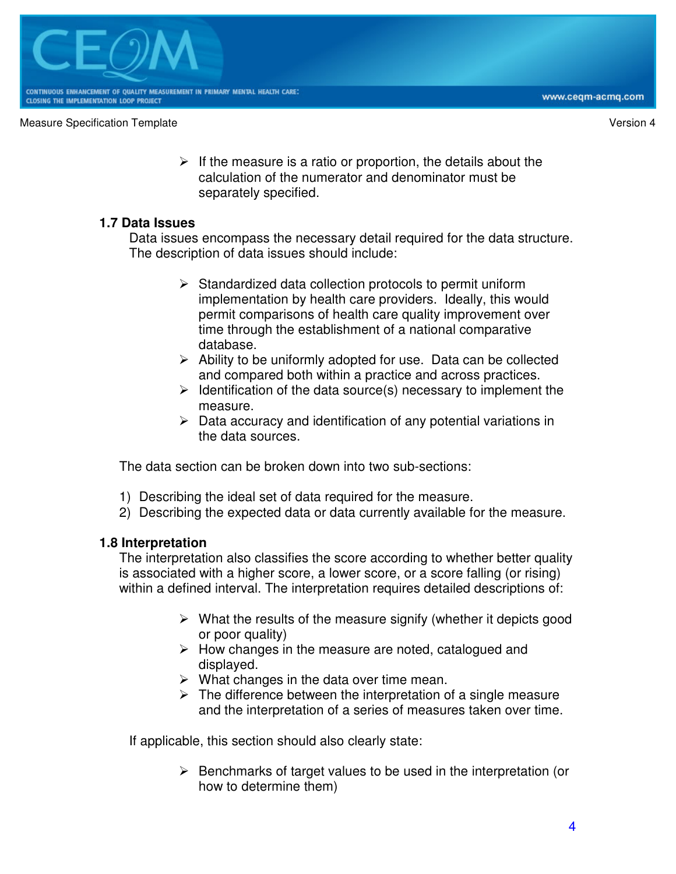$\triangleright$  If the measure is a ratio or proportion, the details about the calculation of the numerator and denominator must be separately specified.

## **1.7 Data Issues**

Data issues encompass the necessary detail required for the data structure. The description of data issues should include:

- $\triangleright$  Standardized data collection protocols to permit uniform implementation by health care providers. Ideally, this would permit comparisons of health care quality improvement over time through the establishment of a national comparative database.
- $\triangleright$  Ability to be uniformly adopted for use. Data can be collected and compared both within a practice and across practices.
- $\triangleright$  Identification of the data source(s) necessary to implement the measure.
- $\triangleright$  Data accuracy and identification of any potential variations in the data sources.

The data section can be broken down into two sub-sections:

- 1) Describing the ideal set of data required for the measure.
- 2) Describing the expected data or data currently available for the measure.

## **1.8 Interpretation**

The interpretation also classifies the score according to whether better quality is associated with a higher score, a lower score, or a score falling (or rising) within a defined interval. The interpretation requires detailed descriptions of:

- $\triangleright$  What the results of the measure signify (whether it depicts good or poor quality)
- $\triangleright$  How changes in the measure are noted, catalogued and displayed.
- $\triangleright$  What changes in the data over time mean.
- $\triangleright$  The difference between the interpretation of a single measure and the interpretation of a series of measures taken over time.

If applicable, this section should also clearly state:

 $\triangleright$  Benchmarks of target values to be used in the interpretation (or how to determine them)

www.ceqm-acmq.com